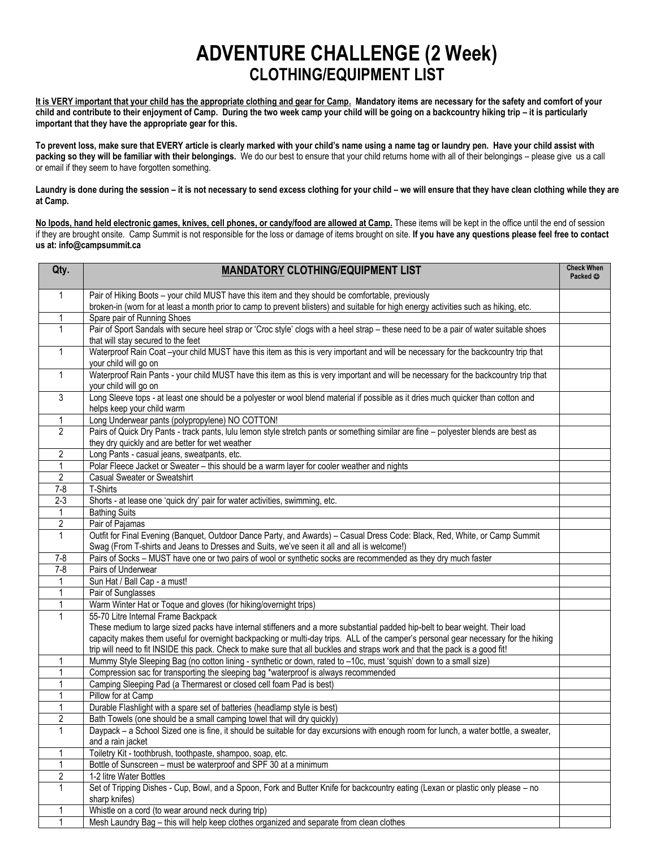## **ADVENTURE CHALLENGE (2 Week) CLOTHING/EQUIPMENT LIST**

**It is VERY important that your child has the appropriate clothing and gear for Camp. Mandatory items are necessary for the safety and comfort of your child and contribute to their enjoyment of Camp. During the two week camp your child will be going on a backcountry hiking trip – it is particularly important that they have the appropriate gear for this.**

**To prevent loss, make sure that EVERY article is clearly marked with your child's name using a name tag or laundry pen. Have your child assist with packing so they will be familiar with their belongings.** We do our best to ensure that your child returns home with all of their belongings – please give us a call or email if they seem to have forgotten something.

Laundry is done during the session – it is not necessary to send excess clothing for your child – we will ensure that they have clean clothing while they are **at Camp.**

**No Ipods, hand held electronic games, knives, cell phones, or candy/food are allowed at Camp.** These items will be kept in the office until the end of session if they are brought onsite. Camp Summit is not responsible for the loss or damage of items brought on site. **If you have any questions please feel free to contact us at: info@campsummit.ca**

| Qty.           | <b>MANDATORY CLOTHING/EQUIPMENT LIST</b>                                                                                                                   | <b>Check When</b><br>Packed © |
|----------------|------------------------------------------------------------------------------------------------------------------------------------------------------------|-------------------------------|
| $\mathbf{1}$   | Pair of Hiking Boots - your child MUST have this item and they should be comfortable, previously                                                           |                               |
|                | broken-in (worn for at least a month prior to camp to prevent blisters) and suitable for high energy activities such as hiking, etc.                       |                               |
| $\mathbf{1}$   | Spare pair of Running Shoes                                                                                                                                |                               |
| 1              | Pair of Sport Sandals with secure heel strap or 'Croc style' clogs with a heel strap - these need to be a pair of water suitable shoes                     |                               |
|                | that will stay secured to the feet                                                                                                                         |                               |
| 1              | Waterproof Rain Coat-your child MUST have this item as this is very important and will be necessary for the backcountry trip that<br>your child will go on |                               |
| $\mathbf{1}$   | Waterproof Rain Pants - your child MUST have this item as this is very important and will be necessary for the backcountry trip that                       |                               |
|                | your child will go on                                                                                                                                      |                               |
| 3              | Long Sleeve tops - at least one should be a polyester or wool blend material if possible as it dries much quicker than cotton and                          |                               |
|                | helps keep your child warm                                                                                                                                 |                               |
| 1              | Long Underwear pants (polypropylene) NO COTTON!                                                                                                            |                               |
| $\overline{2}$ | Pairs of Quick Dry Pants - track pants, lulu lemon style stretch pants or something similar are fine - polyester blends are best as                        |                               |
|                | they dry quickly and are better for wet weather                                                                                                            |                               |
| $\overline{2}$ | Long Pants - casual jeans, sweatpants, etc.                                                                                                                |                               |
| $\mathbf{1}$   | Polar Fleece Jacket or Sweater - this should be a warm layer for cooler weather and nights                                                                 |                               |
| $\overline{2}$ | Casual Sweater or Sweatshirt                                                                                                                               |                               |
| $7 - 8$        | T-Shirts                                                                                                                                                   |                               |
| $2 - 3$        | Shorts - at lease one 'quick dry' pair for water activities, swimming, etc.                                                                                |                               |
| 1              | <b>Bathing Suits</b>                                                                                                                                       |                               |
| $\overline{2}$ | Pair of Pajamas                                                                                                                                            |                               |
| $\mathbf{1}$   | Outfit for Final Evening (Banquet, Outdoor Dance Party, and Awards) - Casual Dress Code: Black, Red, White, or Camp Summit                                 |                               |
|                | Swag (From T-shirts and Jeans to Dresses and Suits, we've seen it all and all is welcome!)                                                                 |                               |
| $7-8$          | Pairs of Socks - MUST have one or two pairs of wool or synthetic socks are recommended as they dry much faster                                             |                               |
| $7 - 8$        | Pairs of Underwear                                                                                                                                         |                               |
| $\mathbf{1}$   | Sun Hat / Ball Cap - a must!                                                                                                                               |                               |
| 1              | Pair of Sunglasses                                                                                                                                         |                               |
| 1              | Warm Winter Hat or Toque and gloves (for hiking/overnight trips)                                                                                           |                               |
| 1              | 55-70 Litre Internal Frame Backpack                                                                                                                        |                               |
|                | These medium to large sized packs have internal stiffeners and a more substantial padded hip-belt to bear weight. Their load                               |                               |
|                | capacity makes them useful for overnight backpacking or multi-day trips. ALL of the camper's personal gear necessary for the hiking                        |                               |
|                | trip will need to fit INSIDE this pack. Check to make sure that all buckles and straps work and that the pack is a good fit!                               |                               |
|                | Mummy Style Sleeping Bag (no cotton lining - synthetic or down, rated to -10c, must 'squish' down to a small size)                                         |                               |
|                | Compression sac for transporting the sleeping bag *waterproof is always recommended                                                                        |                               |
| $\mathbf 1$    | Camping Sleeping Pad (a Thermarest or closed cell foam Pad is best)                                                                                        |                               |
| 1              | Pillow for at Camp                                                                                                                                         |                               |
| 1              | Durable Flashlight with a spare set of batteries (headlamp style is best)                                                                                  |                               |
| 2              | Bath Towels (one should be a small camping towel that will dry quickly)                                                                                    |                               |
| $\mathbf{1}$   | Daypack - a School Sized one is fine, it should be suitable for day excursions with enough room for lunch, a water bottle, a sweater,<br>and a rain jacket |                               |
| 1              | Toiletry Kit - toothbrush, toothpaste, shampoo, soap, etc.                                                                                                 |                               |
| 1              | Bottle of Sunscreen - must be waterproof and SPF 30 at a minimum                                                                                           |                               |
| $\overline{c}$ | 1-2 litre Water Bottles                                                                                                                                    |                               |
| $\mathbf{1}$   | Set of Tripping Dishes - Cup, Bowl, and a Spoon, Fork and Butter Knife for backcountry eating (Lexan or plastic only please - no                           |                               |
|                | sharp knifes)                                                                                                                                              |                               |
| 1              | Whistle on a cord (to wear around neck during trip)                                                                                                        |                               |
| 1              | Mesh Laundry Bag - this will help keep clothes organized and separate from clean clothes                                                                   |                               |
|                |                                                                                                                                                            |                               |